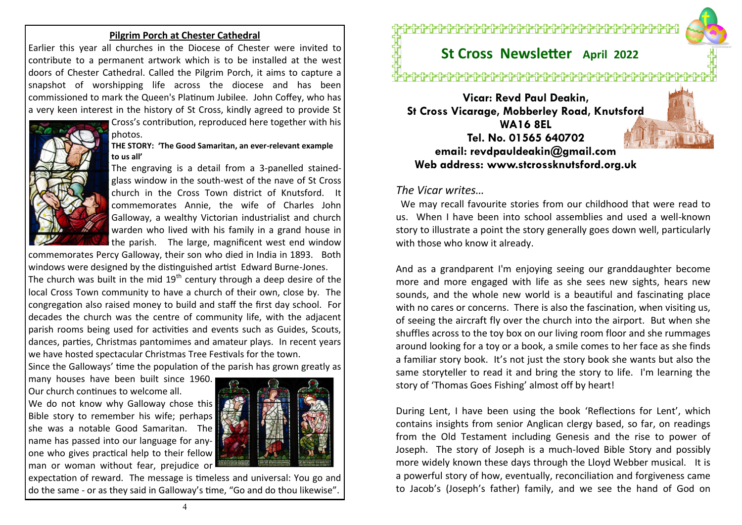## **Pilgrim Porch at Chester Cathedral**

Earlier this year all churches in the Diocese of Chester were [invited to](https://anglican.us18.list-manage.com/track/click?u=a475c964a2c87a79c6d37cb56&id=a41adddc26&e=e65271f63d)  [contribute to a permanent artwork](https://anglican.us18.list-manage.com/track/click?u=a475c964a2c87a79c6d37cb56&id=a41adddc26&e=e65271f63d) which is to be installed at the west doors of Chester Cathedral. Called the Pilgrim Porch, it aims to capture a snapshot of worshipping life across the diocese and has been commissioned to mark the Queen's Platinum Jubilee. John Coffey, who has a very keen interest in the history of St Cross, kindly agreed to provide St



# Cross's contribution, reproduced here together with his photos.

## **THE STORY: 'The Good Samaritan, an ever-relevant example to us all'**

The engraving is a detail from a 3-panelled stainedglass window in the south-west of the nave of St Cross church in the Cross Town district of Knutsford. It commemorates Annie, the wife of Charles John Galloway, a wealthy Victorian industrialist and church warden who lived with his family in a grand house in the parish. The large, magnificent west end window

commemorates Percy Galloway, their son who died in India in 1893. Both windows were designed by the distinguished artist Edward Burne-Jones. The church was built in the mid  $19<sup>th</sup>$  century through a deep desire of the local Cross Town community to have a church of their own, close by. The congregation also raised money to build and staff the first day school. For decades the church was the centre of community life, with the adjacent parish rooms being used for activities and events such as Guides, Scouts, dances, parties, Christmas pantomimes and amateur plays. In recent years we have hosted spectacular Christmas Tree Festivals for the town.

Since the Galloways' time the population of the parish has grown greatly as

many houses have been built since 1960. Our church continues to welcome all.

We do not know why Galloway chose this Bible story to remember his wife; perhaps she was a notable Good Samaritan. The name has passed into our language for anyone who gives practical help to their fellow man or woman without fear, prejudice or



expectation of reward. The message is timeless and universal: You go and do the same - or as they said in Galloway's time, "Go and do thou likewise".

<del>᠄ᠿ᠗᠅ᠿ᠗</del>᠆ᠿ᠑ᡛ᠖ᡛ᠅ᠿᢄᡁ᠗ᢆ᠓

# **St Cross Newsletter April 2022**

# ╒╏┢╕┢╸┧┢╸┧┢╸┧┢╸┧┢╸┧┢╸┧┢╸┧┢╸┧┢╸┧┢╸┧┢╶╏┢╶╏┢╶╏┢╶╏┢╌┧

**Vicar: Revd Paul Deakin, St Cross Vicarage, Mobberley Road, Knutsford WA16 8EL Tel. No. 01565 640702 email: revdpauldeakin@gmail.com Web address: www.stcrossknutsford.org.uk**

# *The Vicar writes…*

 We may recall favourite stories from our childhood that were read to us. When I have been into school assemblies and used a well-known story to illustrate a point the story generally goes down well, particularly with those who know it already.

And as a grandparent I'm enjoying seeing our granddaughter become more and more engaged with life as she sees new sights, hears new sounds, and the whole new world is a beautiful and fascinating place with no cares or concerns. There is also the fascination, when visiting us, of seeing the aircraft fly over the church into the airport. But when she shuffles across to the toy box on our living room floor and she rummages around looking for a toy or a book, a smile comes to her face as she finds a familiar story book. It's not just the story book she wants but also the same storyteller to read it and bring the story to life. I'm learning the story of 'Thomas Goes Fishing' almost off by heart!

During Lent, I have been using the book 'Reflections for Lent', which contains insights from senior Anglican clergy based, so far, on readings from the Old Testament including Genesis and the rise to power of Joseph. The story of Joseph is a much-loved Bible Story and possibly more widely known these days through the Lloyd Webber musical. It is a powerful story of how, eventually, reconciliation and forgiveness came to Jacob's (Joseph's father) family, and we see the hand of God on